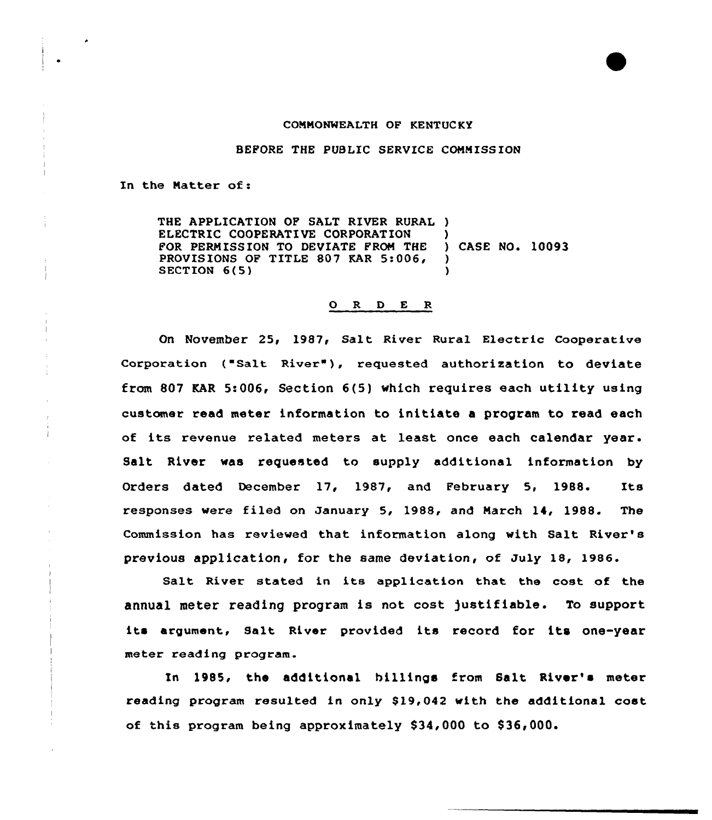## COMNONWEALTH OF KENTUCKY

BEFORE THE PUBLXC SERVICE COMMISSION

In the Natter of:

THE APPLICATION OF SALT RIVER RURAL ) ELECTRIC COOPERATIVE CORPORATION )<br>FOR PERMISSION TO DEVIATE FROM THE ) CASE NO. 10093 FOR PERMISSION TO DEVIATE FROM THE )<br>PROVISIONS OF TITLE 807 KAR 5:006. PROVISIONS OF TITLE 807 KAR 5:006, SECTION 6(5)

## ORDER

On November 25< 1987< Salt River Rural Electric cooperative Corporation ("Salt River"), requested authorization to deviate from 807 KAR 5:006, Section 6(5) which requires each utility using customer read meter information to initiate a program to read each of its revenue related meters at least once each calendar year. Salt River was requested to supply additional information by Orders dated December 17, 1987, and February 5, 1988. Its responses wexe filed on Januaxy 5, 1988, and Narch 14, 1988. The Commission has reviewed that information along with Salt River's previous application, for the same deviation, of July 18, 1986.

Salt River stated in its application that the cost of the annual meter reading program is not cost )ustifiable. To support its argument, Salt River provided its record for its one-year meter reading program.

In 1985< the additional billings from Salt River's meter reading program resulted in only \$19,042 with the additional cost of this program being approximately \$34,000 to \$36,000.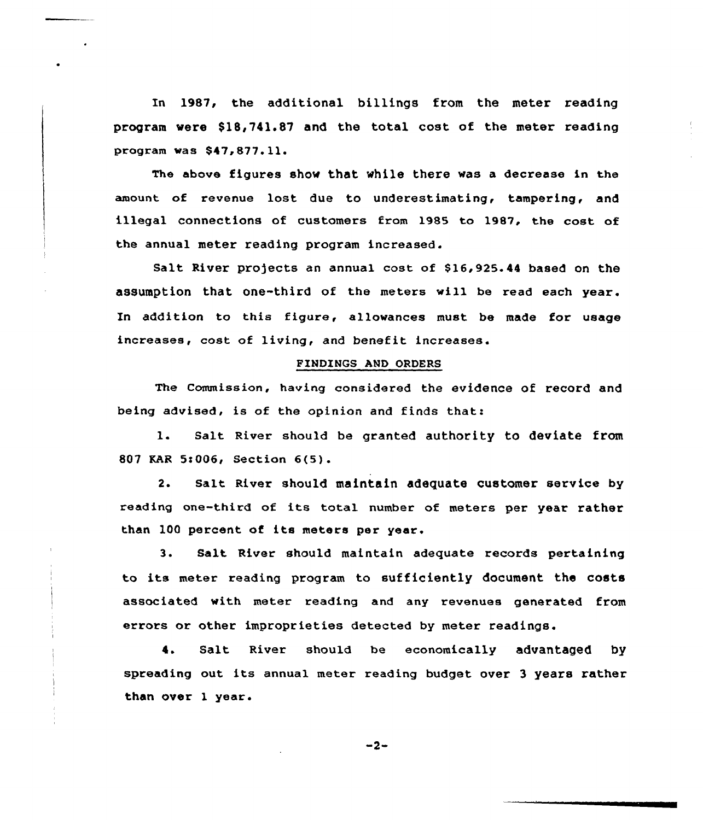In 1987, the additional billings from the meter reading program vere \$18,741.87 and the total cost of the meter reading program vas \$47,877.11<sup>~</sup>

The above figures show that while there was a decrease in the amount of revenue lost due to underestimating, tampering, and illegal connections of customers from 1985 to 1987, the cost of the annual meter reading program increased.

Salt River projects an annual cost of \$16,925.44 based on the assumption that one-third of the meters will be read each year. In addition to this figure, allowances must be made for usage increases, cost of living, and benefit increases.

## FINDINGS AND ORDERS

The Commission, having considered the evidence of record and being advised, is of the opinion and finds that:

1. Salt River should be granted authority to deviate from 807 EAR 5!006< Section 6(5).

2. Salt River should maintain adequate Customer service by reading one third of its total number of meters per year rather than 100 percent of its meters per year.

3. Salt River should maintain adequate records pertaining to its meter reading program to sufficiently document the costs associated with meter reading and any revenues generated from errors or other improprieties detected by meter readings.

4. Salt River should be economically advantaged by spreading out its annual meter reading budget over <sup>3</sup> years rather than over 1 year.

$$
-2-
$$